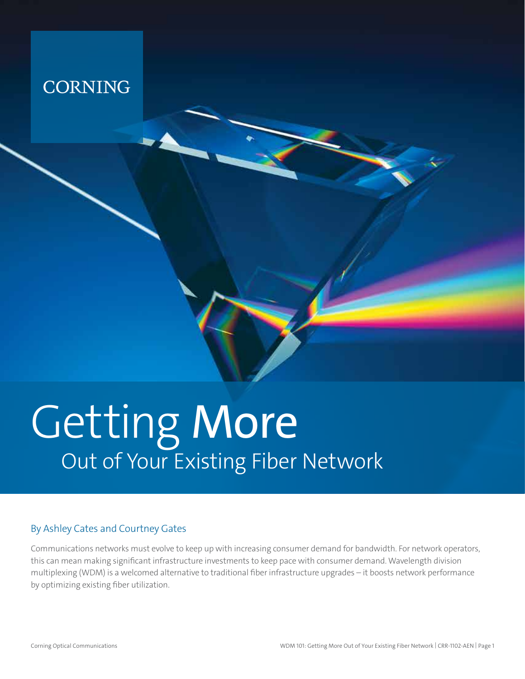

# Getting More Out of Your Existing Fiber Network

#### By Ashley Cates and Courtney Gates

Communications networks must evolve to keep up with increasing consumer demand for bandwidth. For network operators, this can mean making significant infrastructure investments to keep pace with consumer demand. Wavelength division multiplexing (WDM) is a welcomed alternative to traditional fiber infrastructure upgrades – it boosts network performance by optimizing existing fiber utilization.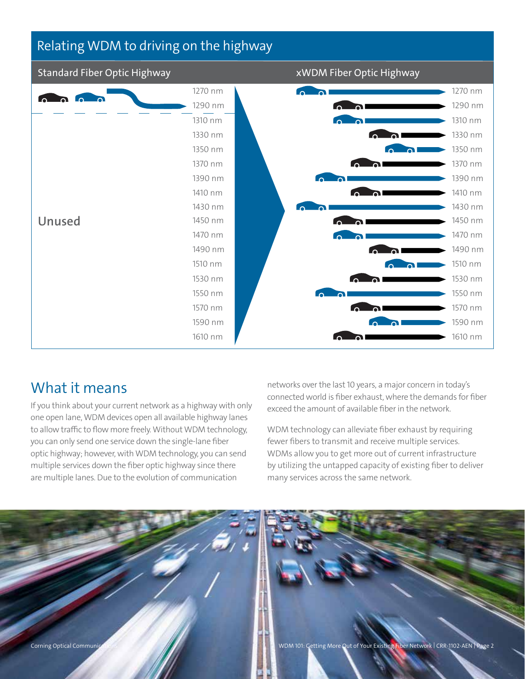#### Relating WDM to driving on the highway



#### What it means

If you think about your current network as a highway with only one open lane, WDM devices open all available highway lanes to allow traffic to flow more freely. Without WDM technology, you can only send one service down the single-lane fiber optic highway; however, with WDM technology, you can send multiple services down the fiber optic highway since there are multiple lanes. Due to the evolution of communication

networks over the last 10 years, a major concern in today's connected world is fiber exhaust, where the demands for fiber exceed the amount of available fiber in the network.

WDM technology can alleviate fiber exhaust by requiring fewer fibers to transmit and receive multiple services. WDMs allow you to get more out of current infrastructure by utilizing the untapped capacity of existing fiber to deliver many services across the same network.

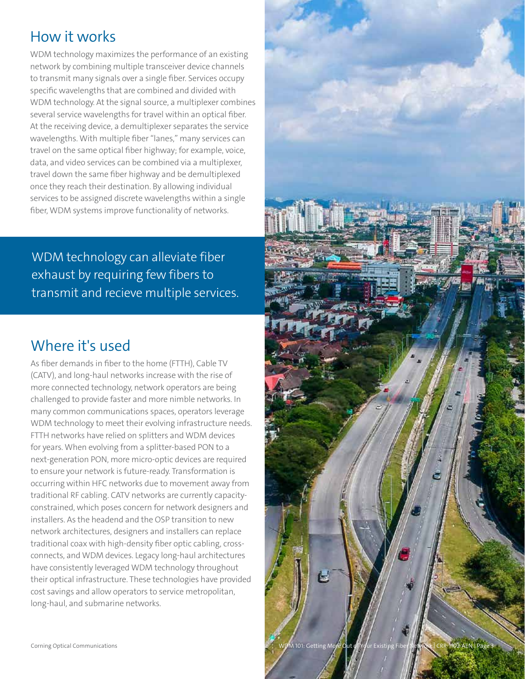#### How it works

WDM technology maximizes the performance of an existing network by combining multiple transceiver device channels to transmit many signals over a single fiber. Services occupy specific wavelengths that are combined and divided with WDM technology. At the signal source, a multiplexer combines several service wavelengths for travel within an optical fiber. At the receiving device, a demultiplexer separates the service wavelengths. With multiple fiber "lanes," many services can travel on the same optical fiber highway; for example, voice, data, and video services can be combined via a multiplexer, travel down the same fiber highway and be demultiplexed once they reach their destination. By allowing individual services to be assigned discrete wavelengths within a single fiber, WDM systems improve functionality of networks.

WDM technology can alleviate fiber exhaust by requiring few fibers to transmit and recieve multiple services.

#### Where it's used

As fiber demands in fiber to the home (FTTH), Cable TV (CATV), and long-haul networks increase with the rise of more connected technology, network operators are being challenged to provide faster and more nimble networks. In many common communications spaces, operators leverage WDM technology to meet their evolving infrastructure needs. FTTH networks have relied on splitters and WDM devices for years. When evolving from a splitter-based PON to a next-generation PON, more micro-optic devices are required to ensure your network is future-ready. Transformation is occurring within HFC networks due to movement away from traditional RF cabling. CATV networks are currently capacityconstrained, which poses concern for network designers and installers. As the headend and the OSP transition to new network architectures, designers and installers can replace traditional coax with high-density fiber optic cabling, crossconnects, and WDM devices. Legacy long-haul architectures have consistently leveraged WDM technology throughout their optical infrastructure. These technologies have provided cost savings and allow operators to service metropolitan, long-haul, and submarine networks.